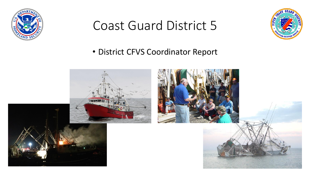

## Coast Guard District 5



## • District CFVS Coordinator Report

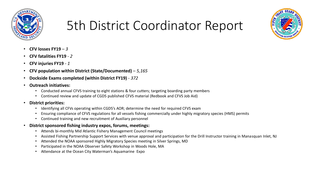

## 5th District Coordinator Report



- **CFV losses FY19**  *3*
- **CFV fatalities FY19**  *2*
- **CFV injuries FY19**  *1*
- **CFV population within District (State/Documented)**  *5,165*
- **Dockside Exams completed (within District FY19)** *372*
- **Outreach initiatives:**
	- Conducted annual CFVS training to eight stations & four cutters; targeting boarding party members
	- Continued review and update of CGD5 published CFVS material (Redbook and CFVS Job Aid)
- **District priorities:**
	- Identifying all CFVs operating within CGD5's AOR; determine the need for required CFVS exam
	- Ensuring compliance of CFVS regulations for all vessels fishing commercially under highly migratory species (HMS) permits
	- Continued training and new recruitment of Auxiliary personnel
- **District sponsored fishing industry expos, forums, meetings:**
	- Attends bi-monthly Mid Atlantic Fishery Management Council meetings
	- Assisted Fishing Partnership Support Services with venue approval and participation for the Drill Instructor training in Manasquan Inlet, NJ
	- Attended the NOAA sponsored Highly Migratory Species meeting in Silver Springs, MD
	- Participated in the NOAA Observer Safety Workshop in Woods Hole, MA
	- Attendance at the Ocean City Waterman's Aquamarine Expo